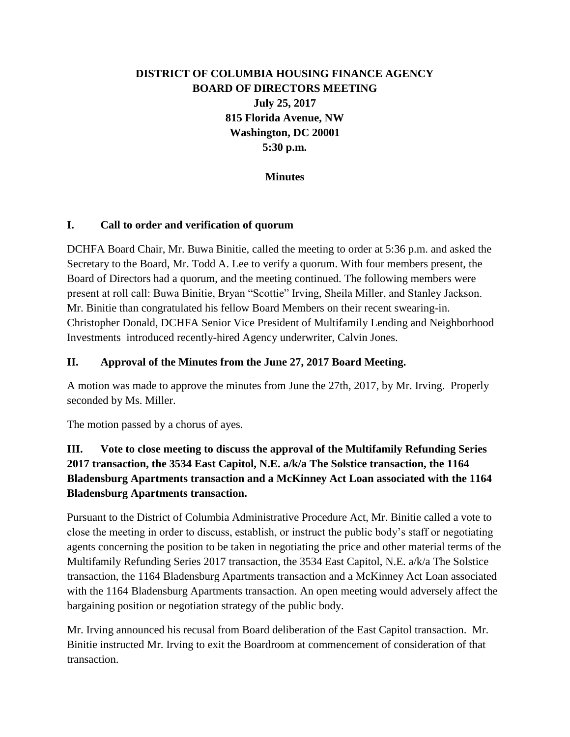# **DISTRICT OF COLUMBIA HOUSING FINANCE AGENCY BOARD OF DIRECTORS MEETING July 25, 2017 815 Florida Avenue, NW Washington, DC 20001 5:30 p.m.**

#### **Minutes**

#### **I. Call to order and verification of quorum**

DCHFA Board Chair, Mr. Buwa Binitie, called the meeting to order at 5:36 p.m. and asked the Secretary to the Board, Mr. Todd A. Lee to verify a quorum. With four members present, the Board of Directors had a quorum, and the meeting continued. The following members were present at roll call: Buwa Binitie, Bryan "Scottie" Irving, Sheila Miller, and Stanley Jackson. Mr. Binitie than congratulated his fellow Board Members on their recent swearing-in. Christopher Donald, DCHFA Senior Vice President of Multifamily Lending and Neighborhood Investments introduced recently-hired Agency underwriter, Calvin Jones.

#### **II. Approval of the Minutes from the June 27, 2017 Board Meeting.**

A motion was made to approve the minutes from June the 27th, 2017, by Mr. Irving. Properly seconded by Ms. Miller.

The motion passed by a chorus of ayes.

# **III. Vote to close meeting to discuss the approval of the Multifamily Refunding Series 2017 transaction, the 3534 East Capitol, N.E. a/k/a The Solstice transaction, the 1164 Bladensburg Apartments transaction and a McKinney Act Loan associated with the 1164 Bladensburg Apartments transaction.**

Pursuant to the District of Columbia Administrative Procedure Act, Mr. Binitie called a vote to close the meeting in order to discuss, establish, or instruct the public body's staff or negotiating agents concerning the position to be taken in negotiating the price and other material terms of the Multifamily Refunding Series 2017 transaction, the 3534 East Capitol, N.E. a/k/a The Solstice transaction, the 1164 Bladensburg Apartments transaction and a McKinney Act Loan associated with the 1164 Bladensburg Apartments transaction. An open meeting would adversely affect the bargaining position or negotiation strategy of the public body.

Mr. Irving announced his recusal from Board deliberation of the East Capitol transaction. Mr. Binitie instructed Mr. Irving to exit the Boardroom at commencement of consideration of that transaction.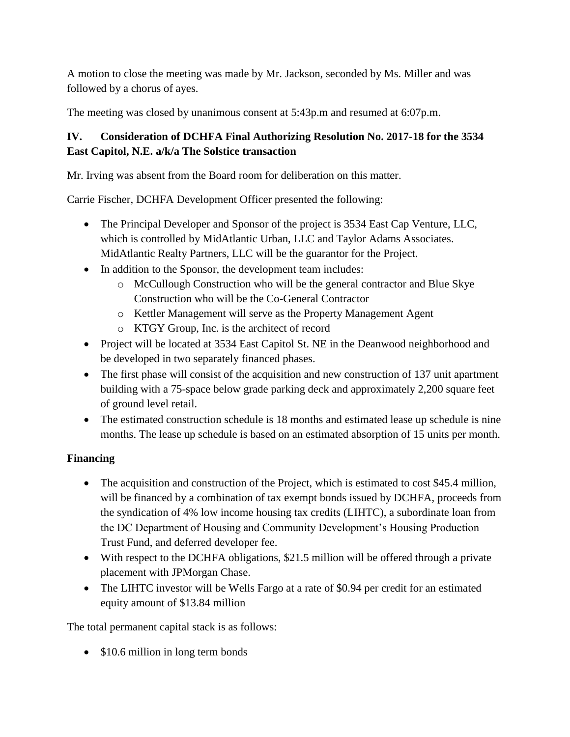A motion to close the meeting was made by Mr. Jackson, seconded by Ms. Miller and was followed by a chorus of ayes.

The meeting was closed by unanimous consent at 5:43p.m and resumed at 6:07p.m.

# **IV. Consideration of DCHFA Final Authorizing Resolution No. 2017-18 for the 3534 East Capitol, N.E. a/k/a The Solstice transaction**

Mr. Irving was absent from the Board room for deliberation on this matter.

Carrie Fischer, DCHFA Development Officer presented the following:

- The Principal Developer and Sponsor of the project is 3534 East Cap Venture, LLC, which is controlled by MidAtlantic Urban, LLC and Taylor Adams Associates. MidAtlantic Realty Partners, LLC will be the guarantor for the Project.
- In addition to the Sponsor, the development team includes:
	- o McCullough Construction who will be the general contractor and Blue Skye Construction who will be the Co-General Contractor
	- o Kettler Management will serve as the Property Management Agent
	- o KTGY Group, Inc. is the architect of record
- Project will be located at 3534 East Capitol St. NE in the Deanwood neighborhood and be developed in two separately financed phases.
- The first phase will consist of the acquisition and new construction of 137 unit apartment building with a 75-space below grade parking deck and approximately 2,200 square feet of ground level retail.
- The estimated construction schedule is 18 months and estimated lease up schedule is nine months. The lease up schedule is based on an estimated absorption of 15 units per month.

# **Financing**

- The acquisition and construction of the Project, which is estimated to cost \$45.4 million, will be financed by a combination of tax exempt bonds issued by DCHFA, proceeds from the syndication of 4% low income housing tax credits (LIHTC), a subordinate loan from the DC Department of Housing and Community Development's Housing Production Trust Fund, and deferred developer fee.
- With respect to the DCHFA obligations, \$21.5 million will be offered through a private placement with JPMorgan Chase.
- The LIHTC investor will be Wells Fargo at a rate of \$0.94 per credit for an estimated equity amount of \$13.84 million

The total permanent capital stack is as follows:

• \$10.6 million in long term bonds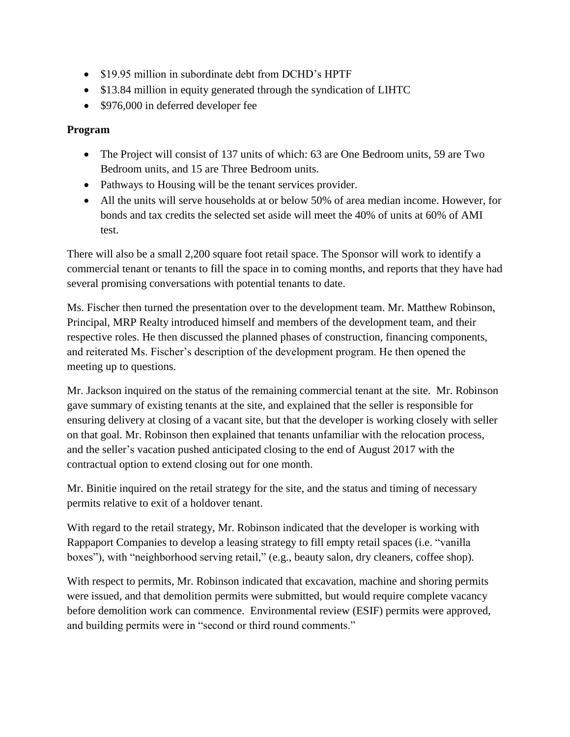- \$19.95 million in subordinate debt from DCHD's HPTF
- \$13.84 million in equity generated through the syndication of LIHTC
- \$976,000 in deferred developer fee

### **Program**

- The Project will consist of 137 units of which: 63 are One Bedroom units, 59 are Two Bedroom units, and 15 are Three Bedroom units.
- Pathways to Housing will be the tenant services provider.
- All the units will serve households at or below 50% of area median income. However, for bonds and tax credits the selected set aside will meet the 40% of units at 60% of AMI test.

There will also be a small 2,200 square foot retail space. The Sponsor will work to identify a commercial tenant or tenants to fill the space in to coming months, and reports that they have had several promising conversations with potential tenants to date.

Ms. Fischer then turned the presentation over to the development team. Mr. Matthew Robinson, Principal, MRP Realty introduced himself and members of the development team, and their respective roles. He then discussed the planned phases of construction, financing components, and reiterated Ms. Fischer's description of the development program. He then opened the meeting up to questions.

Mr. Jackson inquired on the status of the remaining commercial tenant at the site. Mr. Robinson gave summary of existing tenants at the site, and explained that the seller is responsible for ensuring delivery at closing of a vacant site, but that the developer is working closely with seller on that goal. Mr. Robinson then explained that tenants unfamiliar with the relocation process, and the seller's vacation pushed anticipated closing to the end of August 2017 with the contractual option to extend closing out for one month.

Mr. Binitie inquired on the retail strategy for the site, and the status and timing of necessary permits relative to exit of a holdover tenant.

With regard to the retail strategy, Mr. Robinson indicated that the developer is working with Rappaport Companies to develop a leasing strategy to fill empty retail spaces (i.e. "vanilla boxes"), with "neighborhood serving retail," (e.g., beauty salon, dry cleaners, coffee shop).

With respect to permits, Mr. Robinson indicated that excavation, machine and shoring permits were issued, and that demolition permits were submitted, but would require complete vacancy before demolition work can commence. Environmental review (ESIF) permits were approved, and building permits were in "second or third round comments."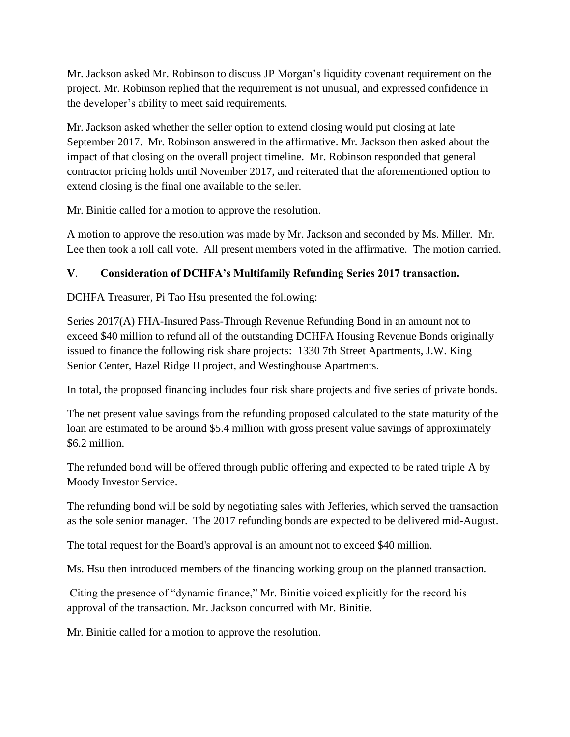Mr. Jackson asked Mr. Robinson to discuss JP Morgan's liquidity covenant requirement on the project. Mr. Robinson replied that the requirement is not unusual, and expressed confidence in the developer's ability to meet said requirements.

Mr. Jackson asked whether the seller option to extend closing would put closing at late September 2017. Mr. Robinson answered in the affirmative. Mr. Jackson then asked about the impact of that closing on the overall project timeline. Mr. Robinson responded that general contractor pricing holds until November 2017, and reiterated that the aforementioned option to extend closing is the final one available to the seller.

Mr. Binitie called for a motion to approve the resolution.

A motion to approve the resolution was made by Mr. Jackson and seconded by Ms. Miller. Mr. Lee then took a roll call vote. All present members voted in the affirmative. The motion carried.

### **V**. **Consideration of DCHFA's Multifamily Refunding Series 2017 transaction.**

DCHFA Treasurer, Pi Tao Hsu presented the following:

Series 2017(A) FHA-Insured Pass-Through Revenue Refunding Bond in an amount not to exceed \$40 million to refund all of the outstanding DCHFA Housing Revenue Bonds originally issued to finance the following risk share projects: 1330 7th Street Apartments, J.W. King Senior Center, Hazel Ridge II project, and Westinghouse Apartments.

In total, the proposed financing includes four risk share projects and five series of private bonds.

The net present value savings from the refunding proposed calculated to the state maturity of the loan are estimated to be around \$5.4 million with gross present value savings of approximately \$6.2 million.

The refunded bond will be offered through public offering and expected to be rated triple A by Moody Investor Service.

The refunding bond will be sold by negotiating sales with Jefferies, which served the transaction as the sole senior manager. The 2017 refunding bonds are expected to be delivered mid-August.

The total request for the Board's approval is an amount not to exceed \$40 million.

Ms. Hsu then introduced members of the financing working group on the planned transaction.

Citing the presence of "dynamic finance," Mr. Binitie voiced explicitly for the record his approval of the transaction. Mr. Jackson concurred with Mr. Binitie.

Mr. Binitie called for a motion to approve the resolution.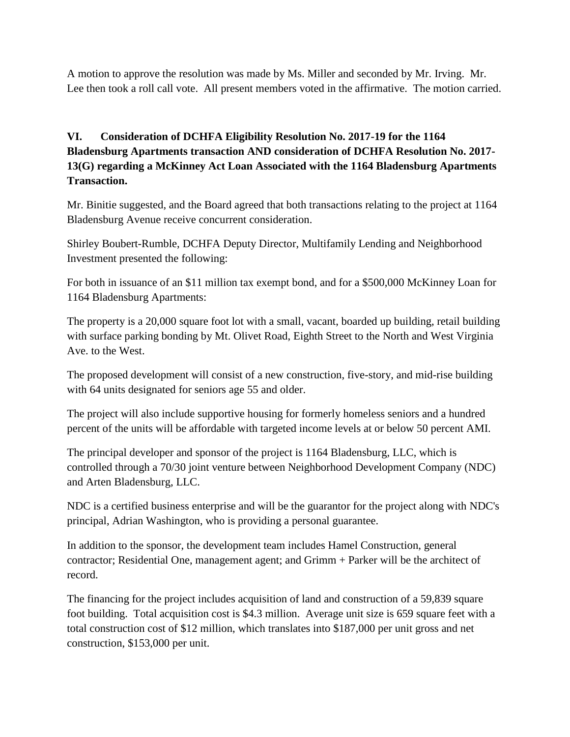A motion to approve the resolution was made by Ms. Miller and seconded by Mr. Irving. Mr. Lee then took a roll call vote. All present members voted in the affirmative. The motion carried.

# **VI. Consideration of DCHFA Eligibility Resolution No. 2017-19 for the 1164 Bladensburg Apartments transaction AND consideration of DCHFA Resolution No. 2017- 13(G) regarding a McKinney Act Loan Associated with the 1164 Bladensburg Apartments Transaction.**

Mr. Binitie suggested, and the Board agreed that both transactions relating to the project at 1164 Bladensburg Avenue receive concurrent consideration.

Shirley Boubert-Rumble, DCHFA Deputy Director, Multifamily Lending and Neighborhood Investment presented the following:

For both in issuance of an \$11 million tax exempt bond, and for a \$500,000 McKinney Loan for 1164 Bladensburg Apartments:

The property is a 20,000 square foot lot with a small, vacant, boarded up building, retail building with surface parking bonding by Mt. Olivet Road, Eighth Street to the North and West Virginia Ave. to the West.

The proposed development will consist of a new construction, five-story, and mid-rise building with 64 units designated for seniors age 55 and older.

The project will also include supportive housing for formerly homeless seniors and a hundred percent of the units will be affordable with targeted income levels at or below 50 percent AMI.

The principal developer and sponsor of the project is 1164 Bladensburg, LLC, which is controlled through a 70/30 joint venture between Neighborhood Development Company (NDC) and Arten Bladensburg, LLC.

NDC is a certified business enterprise and will be the guarantor for the project along with NDC's principal, Adrian Washington, who is providing a personal guarantee.

In addition to the sponsor, the development team includes Hamel Construction, general contractor; Residential One, management agent; and Grimm + Parker will be the architect of record.

The financing for the project includes acquisition of land and construction of a 59,839 square foot building. Total acquisition cost is \$4.3 million. Average unit size is 659 square feet with a total construction cost of \$12 million, which translates into \$187,000 per unit gross and net construction, \$153,000 per unit.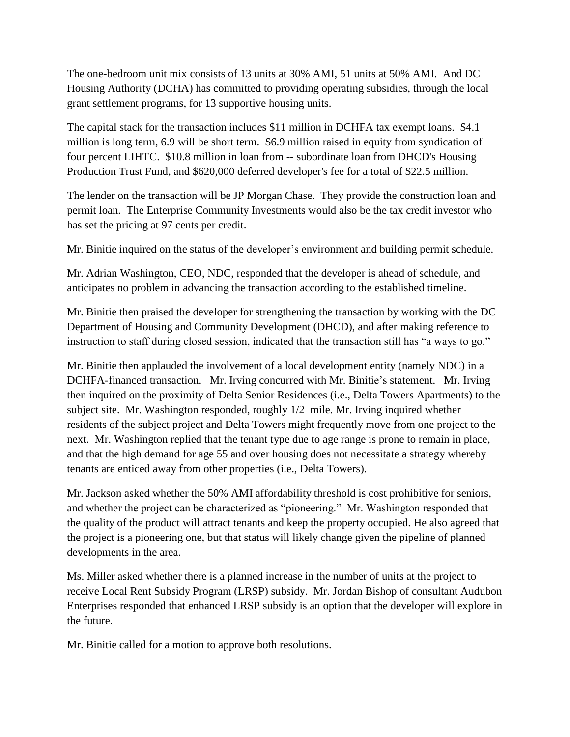The one-bedroom unit mix consists of 13 units at 30% AMI, 51 units at 50% AMI. And DC Housing Authority (DCHA) has committed to providing operating subsidies, through the local grant settlement programs, for 13 supportive housing units.

The capital stack for the transaction includes \$11 million in DCHFA tax exempt loans. \$4.1 million is long term, 6.9 will be short term. \$6.9 million raised in equity from syndication of four percent LIHTC. \$10.8 million in loan from -- subordinate loan from DHCD's Housing Production Trust Fund, and \$620,000 deferred developer's fee for a total of \$22.5 million.

The lender on the transaction will be JP Morgan Chase. They provide the construction loan and permit loan. The Enterprise Community Investments would also be the tax credit investor who has set the pricing at 97 cents per credit.

Mr. Binitie inquired on the status of the developer's environment and building permit schedule.

Mr. Adrian Washington, CEO, NDC, responded that the developer is ahead of schedule, and anticipates no problem in advancing the transaction according to the established timeline.

Mr. Binitie then praised the developer for strengthening the transaction by working with the DC Department of Housing and Community Development (DHCD), and after making reference to instruction to staff during closed session, indicated that the transaction still has "a ways to go."

Mr. Binitie then applauded the involvement of a local development entity (namely NDC) in a DCHFA-financed transaction. Mr. Irving concurred with Mr. Binitie's statement. Mr. Irving then inquired on the proximity of Delta Senior Residences (i.e., Delta Towers Apartments) to the subject site. Mr. Washington responded, roughly 1/2 mile. Mr. Irving inquired whether residents of the subject project and Delta Towers might frequently move from one project to the next. Mr. Washington replied that the tenant type due to age range is prone to remain in place, and that the high demand for age 55 and over housing does not necessitate a strategy whereby tenants are enticed away from other properties (i.e., Delta Towers).

Mr. Jackson asked whether the 50% AMI affordability threshold is cost prohibitive for seniors, and whether the project can be characterized as "pioneering." Mr. Washington responded that the quality of the product will attract tenants and keep the property occupied. He also agreed that the project is a pioneering one, but that status will likely change given the pipeline of planned developments in the area.

Ms. Miller asked whether there is a planned increase in the number of units at the project to receive Local Rent Subsidy Program (LRSP) subsidy. Mr. Jordan Bishop of consultant Audubon Enterprises responded that enhanced LRSP subsidy is an option that the developer will explore in the future.

Mr. Binitie called for a motion to approve both resolutions.